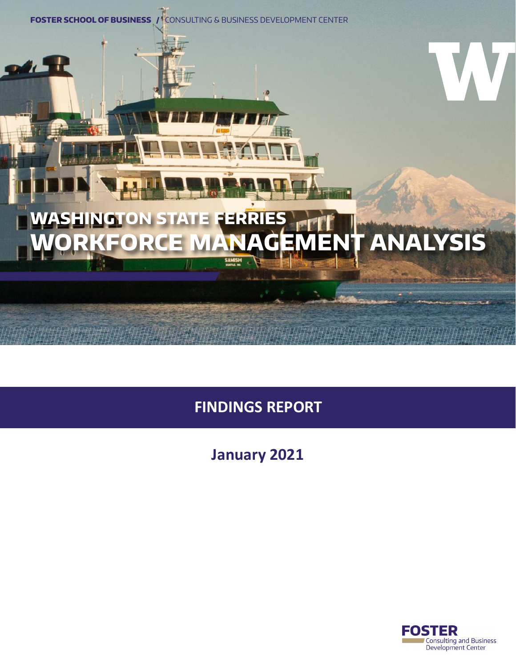

# **WASHINGTON STATE FERRIES WORKFORCE MANAGEMENT ANALYSIS**

ø

# **FINDINGS REPORT**

## **January 2021**

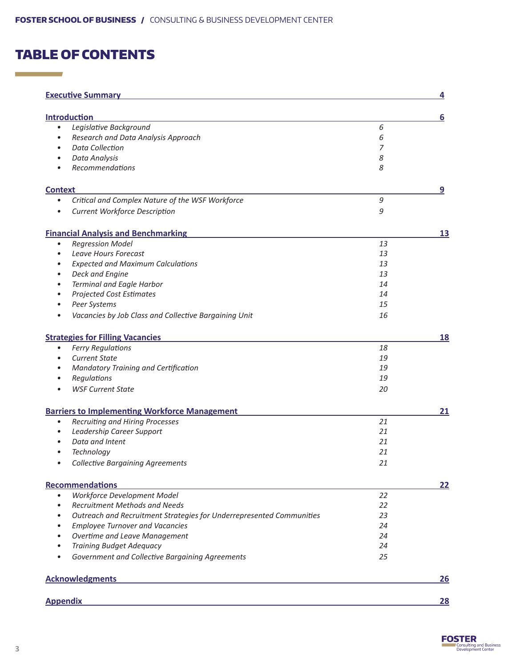### TABLE OF CONTENTS

**Contract Contract** 

| <b>Executive Summary</b>                                                          |    | $\overline{\mathbf{4}}$ |
|-----------------------------------------------------------------------------------|----|-------------------------|
|                                                                                   |    |                         |
| <b>Introduction</b>                                                               |    | 6                       |
| Legislative Background<br>$\bullet$                                               | 6  |                         |
| Research and Data Analysis Approach<br>$\bullet$                                  | 6  |                         |
| <b>Data Collection</b><br>$\bullet$                                               | 7  |                         |
| Data Analysis<br>$\bullet$                                                        | 8  |                         |
| Recommendations<br>$\bullet$                                                      | 8  |                         |
| <b>Context</b>                                                                    |    | 9                       |
| Critical and Complex Nature of the WSF Workforce                                  | 9  |                         |
| Current Workforce Description                                                     | 9  |                         |
| <b>Financial Analysis and Benchmarking</b>                                        |    | 13                      |
| <b>Regression Model</b><br>$\bullet$                                              | 13 |                         |
| Leave Hours Forecast<br>$\bullet$                                                 | 13 |                         |
| <b>Expected and Maximum Calculations</b><br>$\bullet$                             | 13 |                         |
| Deck and Engine<br>$\bullet$                                                      | 13 |                         |
| Terminal and Eagle Harbor<br>$\bullet$                                            | 14 |                         |
| <b>Projected Cost Estimates</b><br>$\bullet$                                      | 14 |                         |
| Peer Systems<br>$\bullet$                                                         | 15 |                         |
| Vacancies by Job Class and Collective Bargaining Unit<br>٠                        | 16 |                         |
|                                                                                   |    |                         |
| <b>Strategies for Filling Vacancies</b>                                           |    | <u>18</u>               |
| <b>Ferry Regulations</b><br>$\bullet$                                             | 18 |                         |
| <b>Current State</b><br>٠                                                         | 19 |                         |
| Mandatory Training and Certification                                              | 19 |                         |
| Regulations                                                                       | 19 |                         |
| <b>WSF Current State</b>                                                          | 20 |                         |
| <b>Barriers to Implementing Workforce Management</b>                              |    | 21                      |
| Recruiting and Hiring Processes<br>$\bullet$                                      | 21 |                         |
| Leadership Career Support<br>$\bullet$                                            | 21 |                         |
| Data and Intent<br>$\bullet$                                                      | 21 |                         |
| Technology<br>٠                                                                   | 21 |                         |
| <b>Collective Bargaining Agreements</b>                                           | 21 |                         |
| <b>Recommendations</b>                                                            |    | 22                      |
| Workforce Development Model<br>$\bullet$                                          | 22 |                         |
| Recruitment Methods and Needs<br>$\bullet$                                        | 22 |                         |
| Outreach and Recruitment Strategies for Underrepresented Communities<br>$\bullet$ | 23 |                         |
| <b>Employee Turnover and Vacancies</b><br>$\bullet$                               | 24 |                         |
| Overtime and Leave Management<br>$\bullet$                                        | 24 |                         |
| <b>Training Budget Adequacy</b>                                                   | 24 |                         |
| Government and Collective Bargaining Agreements                                   | 25 |                         |
| <b>Acknowledgments</b>                                                            |    | <b>26</b>               |
|                                                                                   |    |                         |
| <b>Appendix</b>                                                                   |    | 28                      |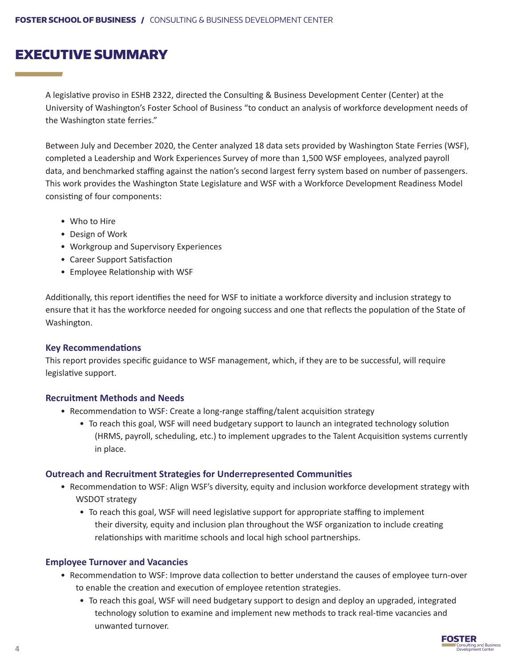### EXECUTIVE SUMMARY

A legislative proviso in ESHB 2322, directed the Consulting & Business Development Center (Center) at the University of Washington's Foster School of Business "to conduct an analysis of workforce development needs of the Washington state ferries."

Between July and December 2020, the Center analyzed 18 data sets provided by Washington State Ferries (WSF), completed a Leadership and Work Experiences Survey of more than 1,500 WSF employees, analyzed payroll data, and benchmarked staffing against the nation's second largest ferry system based on number of passengers. This work provides the Washington State Legislature and WSF with a Workforce Development Readiness Model consisting of four components:

- Who to Hire
- Design of Work
- Workgroup and Supervisory Experiences
- Career Support Satisfaction
- Employee Relationship with WSF

Additionally, this report identifies the need for WSF to initiate a workforce diversity and inclusion strategy to ensure that it has the workforce needed for ongoing success and one that reflects the population of the State of Washington.

#### **Key Recommendations**

This report provides specific guidance to WSF management, which, if they are to be successful, will require legislative support.

#### **Recruitment Methods and Needs**

- Recommendation to WSF: Create a long-range staffing/talent acquisition strategy
	- To reach this goal, WSF will need budgetary support to launch an integrated technology solution (HRMS, payroll, scheduling, etc.) to implement upgrades to the Talent Acquisition systems currently in place.

#### **Outreach and Recruitment Strategies for Underrepresented Communities**

- Recommendation to WSF: Align WSF's diversity, equity and inclusion workforce development strategy with WSDOT strategy
	- To reach this goal, WSF will need legislative support for appropriate staffing to implement their diversity, equity and inclusion plan throughout the WSF organization to include creating relationships with maritime schools and local high school partnerships.

#### **Employee Turnover and Vacancies**

- Recommendation to WSF: Improve data collection to better understand the causes of employee turn-over to enable the creation and execution of employee retention strategies.
	- To reach this goal, WSF will need budgetary support to design and deploy an upgraded, integrated technology solution to examine and implement new methods to track real-time vacancies and unwanted turnover.

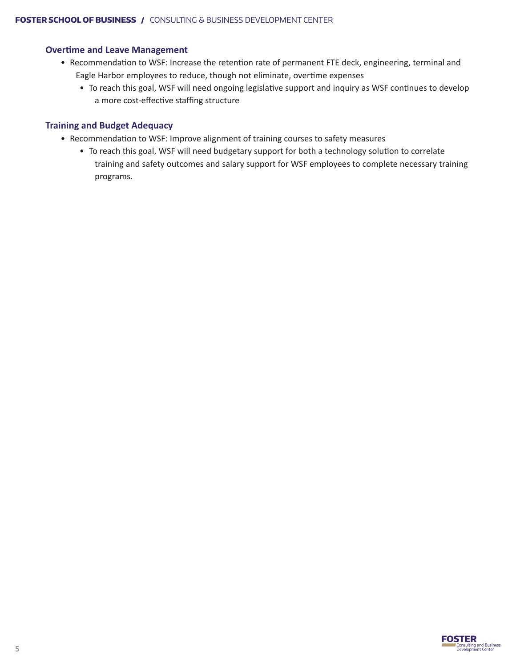#### **Overtime and Leave Management**

- Recommendation to WSF: Increase the retention rate of permanent FTE deck, engineering, terminal and Eagle Harbor employees to reduce, though not eliminate, overtime expenses
	- To reach this goal, WSF will need ongoing legislative support and inquiry as WSF continues to develop a more cost-effective staffing structure

#### **Training and Budget Adequacy**

- Recommendation to WSF: Improve alignment of training courses to safety measures
	- To reach this goal, WSF will need budgetary support for both a technology solution to correlate training and safety outcomes and salary support for WSF employees to complete necessary training programs.



**5**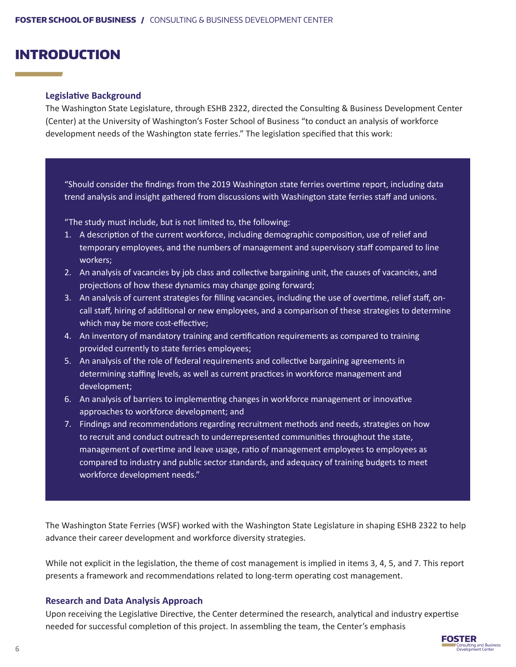### INTRODUCTION

#### **Legislative Background**

The Washington State Legislature, through ESHB 2322, directed the Consulting & Business Development Center (Center) at the University of Washington's Foster School of Business "to conduct an analysis of workforce development needs of the Washington state ferries." The legislation specified that this work:

"Should consider the findings from the 2019 Washington state ferries overtime report, including data trend analysis and insight gathered from discussions with Washington state ferries staff and unions.

"The study must include, but is not limited to, the following:

- 1. A description of the current workforce, including demographic composition, use of relief and temporary employees, and the numbers of management and supervisory staff compared to line workers;
- 2. An analysis of vacancies by job class and collective bargaining unit, the causes of vacancies, and projections of how these dynamics may change going forward;
- 3. An analysis of current strategies for filling vacancies, including the use of overtime, relief staff, oncall staff, hiring of additional or new employees, and a comparison of these strategies to determine which may be more cost-effective;
- 4. An inventory of mandatory training and certification requirements as compared to training provided currently to state ferries employees;
- 5. An analysis of the role of federal requirements and collective bargaining agreements in determining staffing levels, as well as current practices in workforce management and development;
- 6. An analysis of barriers to implementing changes in workforce management or innovative approaches to workforce development; and
- 7. Findings and recommendations regarding recruitment methods and needs, strategies on how to recruit and conduct outreach to underrepresented communities throughout the state, management of overtime and leave usage, ratio of management employees to employees as compared to industry and public sector standards, and adequacy of training budgets to meet workforce development needs."

The Washington State Ferries (WSF) worked with the Washington State Legislature in shaping ESHB 2322 to help advance their career development and workforce diversity strategies.

While not explicit in the legislation, the theme of cost management is implied in items 3, 4, 5, and 7. This report presents a framework and recommendations related to long-term operating cost management.

#### **Research and Data Analysis Approach**

Upon receiving the Legislative Directive, the Center determined the research, analytical and industry expertise needed for successful completion of this project. In assembling the team, the Center's emphasis

![](_page_5_Picture_17.jpeg)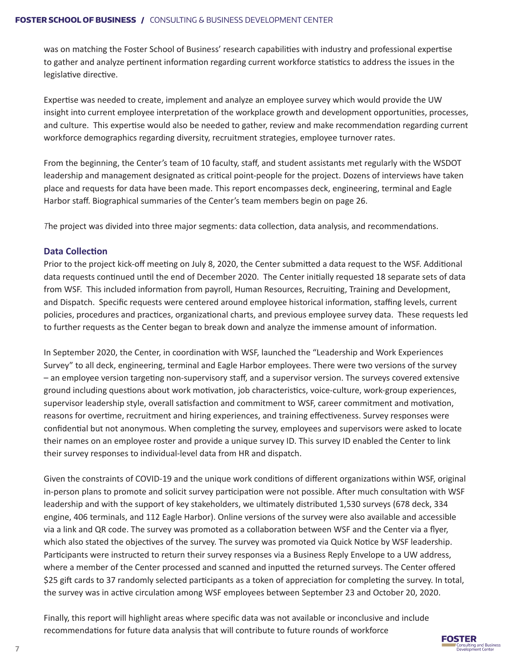was on matching the Foster School of Business' research capabilities with industry and professional expertise to gather and analyze pertinent information regarding current workforce statistics to address the issues in the legislative directive.

Expertise was needed to create, implement and analyze an employee survey which would provide the UW insight into current employee interpretation of the workplace growth and development opportunities, processes, and culture. This expertise would also be needed to gather, review and make recommendation regarding current workforce demographics regarding diversity, recruitment strategies, employee turnover rates.

From the beginning, the Center's team of 10 faculty, staff, and student assistants met regularly with the WSDOT leadership and management designated as critical point-people for the project. Dozens of interviews have taken place and requests for data have been made. This report encompasses deck, engineering, terminal and Eagle Harbor staff. Biographical summaries of the Center's team members begin on page 26.

*T*he project was divided into three major segments: data collection, data analysis, and recommendations.

#### **Data Collection**

Prior to the project kick-off meeting on July 8, 2020, the Center submitted a data request to the WSF. Additional data requests continued until the end of December 2020. The Center initially requested 18 separate sets of data from WSF. This included information from payroll, Human Resources, Recruiting, Training and Development, and Dispatch. Specific requests were centered around employee historical information, staffing levels, current policies, procedures and practices, organizational charts, and previous employee survey data. These requests led to further requests as the Center began to break down and analyze the immense amount of information.

In September 2020, the Center, in coordination with WSF, launched the "Leadership and Work Experiences Survey" to all deck, engineering, terminal and Eagle Harbor employees. There were two versions of the survey – an employee version targeting non-supervisory staff, and a supervisor version. The surveys covered extensive ground including questions about work motivation, job characteristics, voice-culture, work-group experiences, supervisor leadership style, overall satisfaction and commitment to WSF, career commitment and motivation, reasons for overtime, recruitment and hiring experiences, and training effectiveness. Survey responses were confidential but not anonymous. When completing the survey, employees and supervisors were asked to locate their names on an employee roster and provide a unique survey ID. This survey ID enabled the Center to link their survey responses to individual-level data from HR and dispatch.

Given the constraints of COVID-19 and the unique work conditions of different organizations within WSF, original in-person plans to promote and solicit survey participation were not possible. After much consultation with WSF leadership and with the support of key stakeholders, we ultimately distributed 1,530 surveys (678 deck, 334 engine, 406 terminals, and 112 Eagle Harbor). Online versions of the survey were also available and accessible via a link and QR code. The survey was promoted as a collaboration between WSF and the Center via a flyer, which also stated the objectives of the survey. The survey was promoted via Quick Notice by WSF leadership. Participants were instructed to return their survey responses via a Business Reply Envelope to a UW address, where a member of the Center processed and scanned and inputted the returned surveys. The Center offered \$25 gift cards to 37 randomly selected participants as a token of appreciation for completing the survey. In total, the survey was in active circulation among WSF employees between September 23 and October 20, 2020.

Finally, this report will highlight areas where specific data was not available or inconclusive and include recommendations for future data analysis that will contribute to future rounds of workforce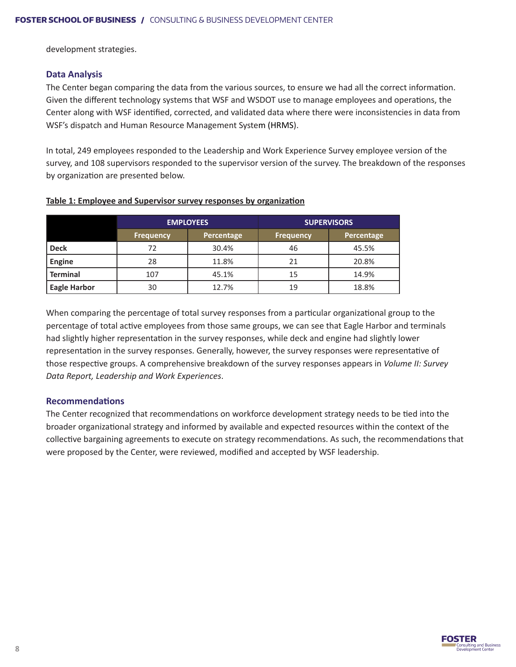development strategies.

#### **Data Analysis**

The Center began comparing the data from the various sources, to ensure we had all the correct information. Given the different technology systems that WSF and WSDOT use to manage employees and operations, the Center along with WSF identified, corrected, and validated data where there were inconsistencies in data from WSF's dispatch and Human Resource Management System (HRMS).

In total, 249 employees responded to the Leadership and Work Experience Survey employee version of the survey, and 108 supervisors responded to the supervisor version of the survey. The breakdown of the responses by organization are presented below.

|                     |                  | <b>EMPLOYEES</b> | <b>SUPERVISORS</b> |            |  |
|---------------------|------------------|------------------|--------------------|------------|--|
|                     | <b>Frequency</b> | Percentage       |                    | Percentage |  |
| <b>Deck</b>         | 72               | 30.4%            | 46                 | 45.5%      |  |
| <b>Engine</b>       | 28               | 11.8%            | 21                 | 20.8%      |  |
| <b>Terminal</b>     | 107              | 45.1%            | 15                 | 14.9%      |  |
| <b>Eagle Harbor</b> | 30               | 12.7%            | 19                 | 18.8%      |  |

#### **Table 1: Employee and Supervisor survey responses by organization**

When comparing the percentage of total survey responses from a particular organizational group to the percentage of total active employees from those same groups, we can see that Eagle Harbor and terminals had slightly higher representation in the survey responses, while deck and engine had slightly lower representation in the survey responses. Generally, however, the survey responses were representative of those respective groups. A comprehensive breakdown of the survey responses appears in *Volume II: Survey Data Report, Leadership and Work Experiences*.

#### **Recommendations**

The Center recognized that recommendations on workforce development strategy needs to be tied into the broader organizational strategy and informed by available and expected resources within the context of the collective bargaining agreements to execute on strategy recommendations. As such, the recommendations that were proposed by the Center, were reviewed, modified and accepted by WSF leadership.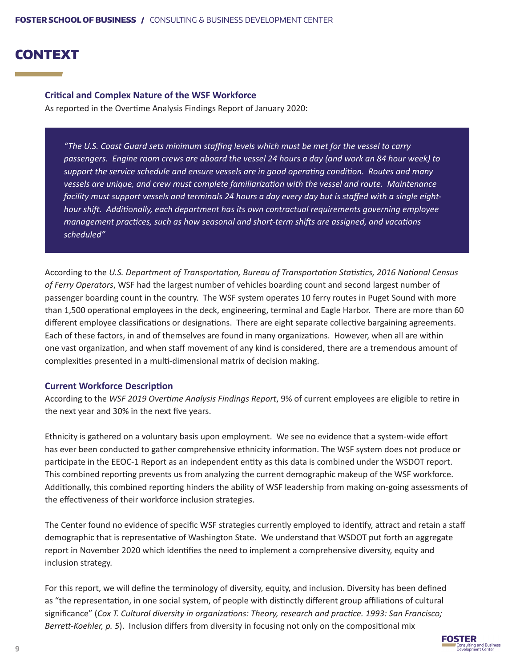### CONTEXT

#### **Critical and Complex Nature of the WSF Workforce**

As reported in the Overtime Analysis Findings Report of January 2020:

*"The U.S. Coast Guard sets minimum staffing levels which must be met for the vessel to carry passengers. Engine room crews are aboard the vessel 24 hours a day (and work an 84 hour week) to support the service schedule and ensure vessels are in good operating condition. Routes and many vessels are unique, and crew must complete familiarization with the vessel and route. Maintenance facility must support vessels and terminals 24 hours a day every day but is staffed with a single eighthour shift. Additionally, each department has its own contractual requirements governing employee management practices, such as how seasonal and short-term shifts are assigned, and vacations scheduled"*

According to the *U.S. Department of Transportation, Bureau of Transportation Statistics, 2016 National Census of Ferry Operators*, WSF had the largest number of vehicles boarding count and second largest number of passenger boarding count in the country. The WSF system operates 10 ferry routes in Puget Sound with more than 1,500 operational employees in the deck, engineering, terminal and Eagle Harbor. There are more than 60 different employee classifications or designations. There are eight separate collective bargaining agreements. Each of these factors, in and of themselves are found in many organizations. However, when all are within one vast organization, and when staff movement of any kind is considered, there are a tremendous amount of complexities presented in a multi-dimensional matrix of decision making.

#### **Current Workforce Description**

According to the *WSF 2019 Overtime Analysis Findings Report*, 9% of current employees are eligible to retire in the next year and 30% in the next five years.

Ethnicity is gathered on a voluntary basis upon employment. We see no evidence that a system-wide effort has ever been conducted to gather comprehensive ethnicity information. The WSF system does not produce or participate in the EEOC-1 Report as an independent entity as this data is combined under the WSDOT report. This combined reporting prevents us from analyzing the current demographic makeup of the WSF workforce. Additionally, this combined reporting hinders the ability of WSF leadership from making on-going assessments of the effectiveness of their workforce inclusion strategies.

The Center found no evidence of specific WSF strategies currently employed to identify, attract and retain a staff demographic that is representative of Washington State. We understand that WSDOT put forth an aggregate report in November 2020 which identifies the need to implement a comprehensive diversity, equity and inclusion strategy.

For this report, we will define the terminology of diversity, equity, and inclusion. Diversity has been defined as "the representation, in one social system, of people with distinctly different group affiliations of cultural significance" (*Cox T. Cultural diversity in organizations: Theory, research and practice. 1993: San Francisco; Berrett-Koehler, p. 5*). Inclusion differs from diversity in focusing not only on the compositional mix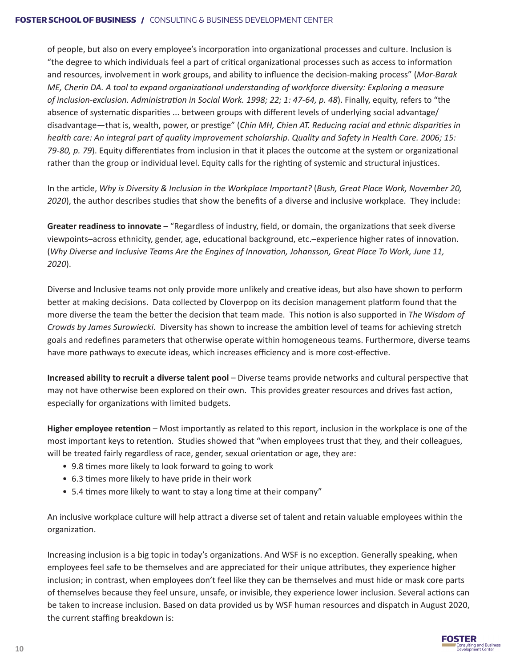of people, but also on every employee's incorporation into organizational processes and culture. Inclusion is "the degree to which individuals feel a part of critical organizational processes such as access to information and resources, involvement in work groups, and ability to influence the decision-making process" (*Mor-Barak ME, Cherin DA. A tool to expand organizational understanding of workforce diversity: Exploring a measure of inclusion-exclusion. Administration in Social Work. 1998; 22; 1: 47-64, p. 48*). Finally, equity, refers to "the absence of systematic disparities ... between groups with different levels of underlying social advantage/ disadvantage—that is, wealth, power, or prestige" (*Chin MH, Chien AT. Reducing racial and ethnic disparities in health care: An integral part of quality improvement scholarship. Quality and Safety in Health Care. 2006; 15: 79-80, p. 79*). Equity differentiates from inclusion in that it places the outcome at the system or organizational rather than the group or individual level. Equity calls for the righting of systemic and structural injustices.

In the article, *Why is Diversity & Inclusion in the Workplace Important?* (*Bush, Great Place Work, November 20, 2020*), the author describes studies that show the benefits of a diverse and inclusive workplace. They include:

**Greater readiness to innovate** – "Regardless of industry, field, or domain, the organizations that seek diverse viewpoints–across ethnicity, gender, age, educational background, etc.–experience higher rates of innovation. (*Why Diverse and Inclusive Teams Are the Engines of Innovation, Johansson, Great Place To Work, June 11, 2020*).

Diverse and Inclusive teams not only provide more unlikely and creative ideas, but also have shown to perform better at making decisions. Data collected by Cloverpop on its decision management platform found that the more diverse the team the better the decision that team made. This notion is also supported in *The Wisdom of Crowds by James Surowiecki*. Diversity has shown to increase the ambition level of teams for achieving stretch goals and redefines parameters that otherwise operate within homogeneous teams. Furthermore, diverse teams have more pathways to execute ideas, which increases efficiency and is more cost-effective.

**Increased ability to recruit a diverse talent pool** – Diverse teams provide networks and cultural perspective that may not have otherwise been explored on their own. This provides greater resources and drives fast action, especially for organizations with limited budgets.

**Higher employee retention** – Most importantly as related to this report, inclusion in the workplace is one of the most important keys to retention. Studies showed that "when employees trust that they, and their colleagues, will be treated fairly regardless of race, gender, sexual orientation or age, they are:

- 9.8 times more likely to look forward to going to work
- 6.3 times more likely to have pride in their work
- 5.4 times more likely to want to stay a long time at their company"

An inclusive workplace culture will help attract a diverse set of talent and retain valuable employees within the organization.

Increasing inclusion is a big topic in today's organizations. And WSF is no exception. Generally speaking, when employees feel safe to be themselves and are appreciated for their unique attributes, they experience higher inclusion; in contrast, when employees don't feel like they can be themselves and must hide or mask core parts of themselves because they feel unsure, unsafe, or invisible, they experience lower inclusion. Several actions can be taken to increase inclusion. Based on data provided us by WSF human resources and dispatch in August 2020, the current staffing breakdown is:

![](_page_9_Picture_12.jpeg)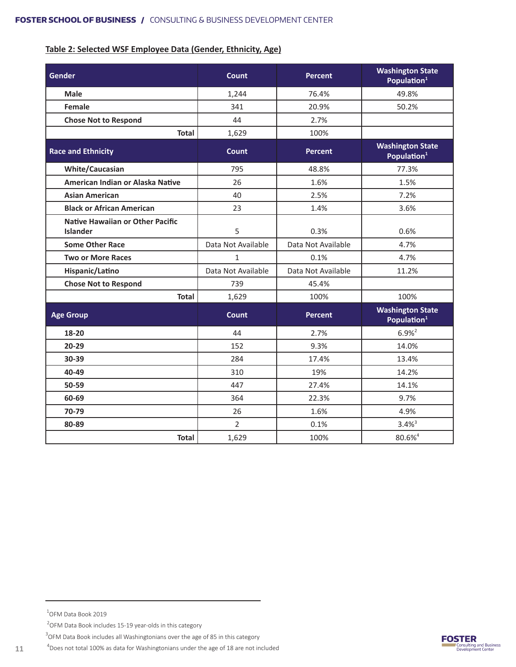#### **Table 2: Selected WSF Employee Data (Gender, Ethnicity, Age)**

| <b>Gender</b>                                              | Count              | <b>Percent</b>     | <b>Washington State</b><br>Population <sup>1</sup> |
|------------------------------------------------------------|--------------------|--------------------|----------------------------------------------------|
| <b>Male</b>                                                | 1,244              | 76.4%              | 49.8%                                              |
| <b>Female</b>                                              | 341                | 20.9%              | 50.2%                                              |
| <b>Chose Not to Respond</b>                                | 44                 | 2.7%               |                                                    |
| <b>Total</b>                                               | 1,629              | 100%               |                                                    |
| <b>Race and Ethnicity</b>                                  | Count              | <b>Percent</b>     | <b>Washington State</b><br>Population <sup>1</sup> |
| <b>White/Caucasian</b>                                     | 795                | 48.8%              | 77.3%                                              |
| American Indian or Alaska Native                           | 26                 | 1.6%               | 1.5%                                               |
| <b>Asian American</b>                                      | 40                 | 2.5%               | 7.2%                                               |
| <b>Black or African American</b>                           | 23                 | 1.4%               | 3.6%                                               |
| <b>Native Hawaiian or Other Pacific</b><br><b>Islander</b> | 5                  | 0.3%               | 0.6%                                               |
| <b>Some Other Race</b>                                     | Data Not Available | Data Not Available | 4.7%                                               |
| <b>Two or More Races</b>                                   | $\mathbf{1}$       | 0.1%               | 4.7%                                               |
| Hispanic/Latino                                            | Data Not Available | Data Not Available | 11.2%                                              |
| <b>Chose Not to Respond</b>                                | 739                | 45.4%              |                                                    |
| <b>Total</b>                                               | 1,629              | 100%               | 100%                                               |
| <b>Age Group</b>                                           | Count              | <b>Percent</b>     | <b>Washington State</b><br>Population <sup>1</sup> |
| 18-20                                                      | 44                 | 2.7%               | $6.9%^{2}$                                         |
| $20 - 29$                                                  | 152                | 9.3%               | 14.0%                                              |
| 30-39                                                      | 284                | 17.4%              | 13.4%                                              |
| 40-49                                                      | 310                | 19%                | 14.2%                                              |
| 50-59                                                      | 447                | 27.4%              | 14.1%                                              |
| 60-69                                                      | 364                | 22.3%              | 9.7%                                               |
| 70-79                                                      | 26                 | 1.6%               | 4.9%                                               |
| 80-89                                                      | $\overline{2}$     | 0.1%               | $3.4\%$ <sup>3</sup>                               |
| <b>Total</b>                                               | 1,629              | 100%               | 80.6% <sup>4</sup>                                 |

1 OFM Data Book 2019

 $2$ OFM Data Book includes 15-19 year-olds in this category

 $^3$ OFM Data Book includes all Washingtonians over the age of 85 in this category

 $^4$ Does not total 100% as data for Washingtonians under the age of 18 are not included

![](_page_10_Picture_7.jpeg)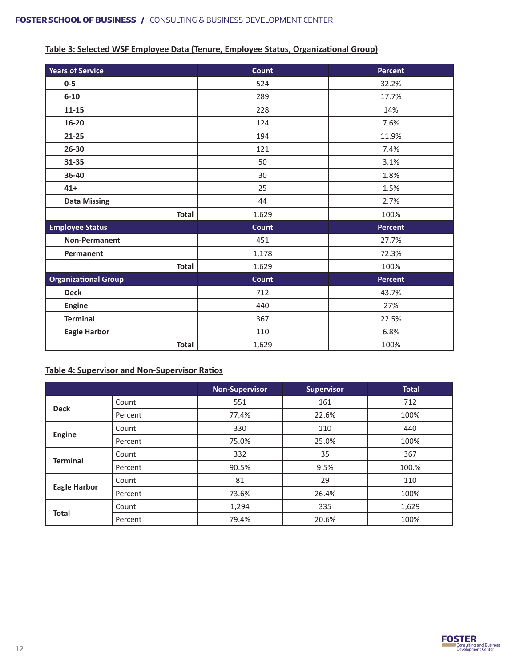#### **Table 3: Selected WSF Employee Data (Tenure, Employee Status, Organizational Group)**

| <b>Years of Service</b>     | <b>Count</b> | <b>Percent</b> |
|-----------------------------|--------------|----------------|
| $0-5$                       | 524          | 32.2%          |
| $6 - 10$                    | 289          | 17.7%          |
| $11 - 15$                   | 228          | 14%            |
| $16 - 20$                   | 124          | 7.6%           |
| 21-25                       | 194          | 11.9%          |
| 26-30                       | 121          | 7.4%           |
| 31-35                       | 50           | 3.1%           |
| 36-40                       | 30           | 1.8%           |
| $41+$                       | 25           | 1.5%           |
| <b>Data Missing</b>         | 44           | 2.7%           |
| <b>Total</b>                | 1,629        | 100%           |
| <b>Employee Status</b>      | Count        | <b>Percent</b> |
| <b>Non-Permanent</b>        | 451          | 27.7%          |
| Permanent                   | 1,178        | 72.3%          |
| <b>Total</b>                | 1,629        | 100%           |
| <b>Organizational Group</b> | Count        | <b>Percent</b> |
| <b>Deck</b>                 | 712          | 43.7%          |
| <b>Engine</b>               | 440          | 27%            |
| <b>Terminal</b>             | 367          | 22.5%          |
| <b>Eagle Harbor</b>         | 110          | 6.8%           |
| <b>Total</b>                | 1,629        | 100%           |

#### **Table 4: Supervisor and Non-Supervisor Ratios**

|                     |         | <b>Non-Supervisor</b> | <b>Supervisor</b> | <b>Total</b> |
|---------------------|---------|-----------------------|-------------------|--------------|
|                     | Count   | 551<br>161            |                   | 712          |
| <b>Deck</b>         | Percent | 77.4%                 | 22.6%             | 100%         |
|                     | Count   | 330                   | 110               | 440          |
| Engine              | Percent | 75.0%                 | 25.0%             | 100%         |
| <b>Terminal</b>     | Count   | 35<br>332             |                   | 367          |
|                     | Percent | 90.5%                 | 9.5%              | 100.%        |
|                     | Count   | 81                    | 29                | 110          |
| <b>Eagle Harbor</b> | Percent | 73.6%                 | 26.4%             | 100%         |
|                     | Count   | 1,294                 | 335               | 1,629        |
| <b>Total</b>        | Percent | 79.4%                 | 20.6%             | 100%         |

![](_page_11_Picture_5.jpeg)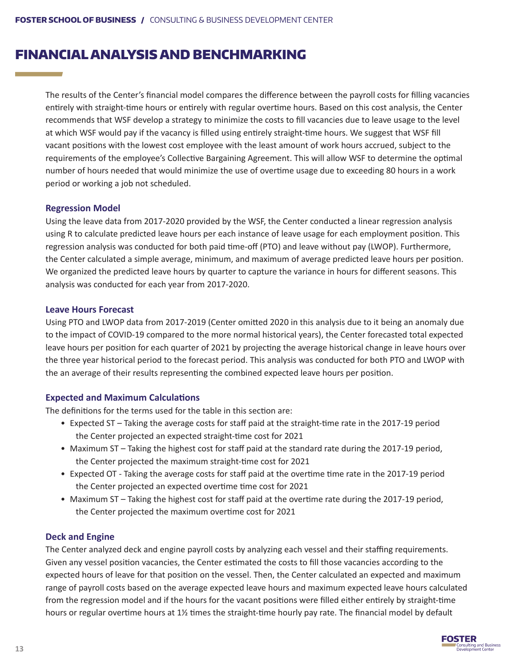### FINANCIAL ANALYSIS AND BENCHMARKING

The results of the Center's financial model compares the difference between the payroll costs for filling vacancies entirely with straight-time hours or entirely with regular overtime hours. Based on this cost analysis, the Center recommends that WSF develop a strategy to minimize the costs to fill vacancies due to leave usage to the level at which WSF would pay if the vacancy is filled using entirely straight-time hours. We suggest that WSF fill vacant positions with the lowest cost employee with the least amount of work hours accrued, subject to the requirements of the employee's Collective Bargaining Agreement. This will allow WSF to determine the optimal number of hours needed that would minimize the use of overtime usage due to exceeding 80 hours in a work period or working a job not scheduled.

#### **Regression Model**

Using the leave data from 2017-2020 provided by the WSF, the Center conducted a linear regression analysis using R to calculate predicted leave hours per each instance of leave usage for each employment position. This regression analysis was conducted for both paid time-off (PTO) and leave without pay (LWOP). Furthermore, the Center calculated a simple average, minimum, and maximum of average predicted leave hours per position. We organized the predicted leave hours by quarter to capture the variance in hours for different seasons. This analysis was conducted for each year from 2017-2020.

#### **Leave Hours Forecast**

Using PTO and LWOP data from 2017-2019 (Center omitted 2020 in this analysis due to it being an anomaly due to the impact of COVID-19 compared to the more normal historical years), the Center forecasted total expected leave hours per position for each quarter of 2021 by projecting the average historical change in leave hours over the three year historical period to the forecast period. This analysis was conducted for both PTO and LWOP with the an average of their results representing the combined expected leave hours per position.

#### **Expected and Maximum Calculations**

The definitions for the terms used for the table in this section are:

- Expected ST Taking the average costs for staff paid at the straight-time rate in the 2017-19 period the Center projected an expected straight-time cost for 2021
- Maximum ST Taking the highest cost for staff paid at the standard rate during the 2017-19 period, the Center projected the maximum straight-time cost for 2021
- Expected OT Taking the average costs for staff paid at the overtime time rate in the 2017-19 period the Center projected an expected overtime time cost for 2021
- Maximum ST Taking the highest cost for staff paid at the overtime rate during the 2017-19 period, the Center projected the maximum overtime cost for 2021

#### **Deck and Engine**

The Center analyzed deck and engine payroll costs by analyzing each vessel and their staffing requirements. Given any vessel position vacancies, the Center estimated the costs to fill those vacancies according to the expected hours of leave for that position on the vessel. Then, the Center calculated an expected and maximum range of payroll costs based on the average expected leave hours and maximum expected leave hours calculated from the regression model and if the hours for the vacant positions were filled either entirely by straight-time hours or regular overtime hours at 1½ times the straight-time hourly pay rate. The financial model by default

![](_page_12_Picture_15.jpeg)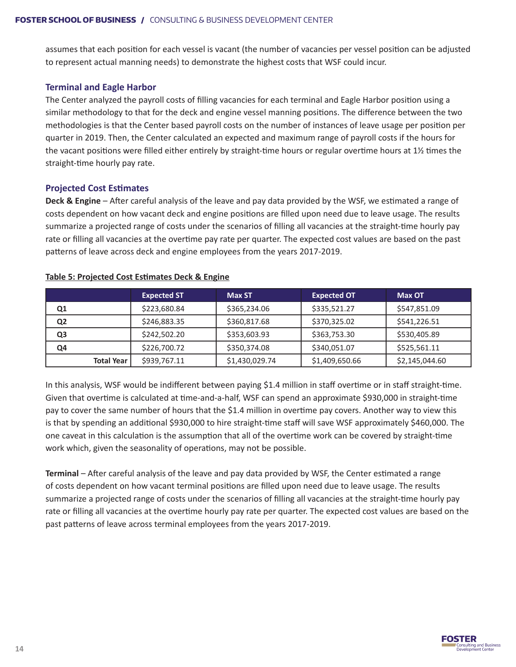assumes that each position for each vessel is vacant (the number of vacancies per vessel position can be adjusted to represent actual manning needs) to demonstrate the highest costs that WSF could incur.

#### **Terminal and Eagle Harbor**

The Center analyzed the payroll costs of filling vacancies for each terminal and Eagle Harbor position using a similar methodology to that for the deck and engine vessel manning positions. The difference between the two methodologies is that the Center based payroll costs on the number of instances of leave usage per position per quarter in 2019. Then, the Center calculated an expected and maximum range of payroll costs if the hours for the vacant positions were filled either entirely by straight-time hours or regular overtime hours at 1½ times the straight-time hourly pay rate.

#### **Projected Cost Estimates**

**Deck & Engine** – After careful analysis of the leave and pay data provided by the WSF, we estimated a range of costs dependent on how vacant deck and engine positions are filled upon need due to leave usage. The results summarize a projected range of costs under the scenarios of filling all vacancies at the straight-time hourly pay rate or filling all vacancies at the overtime pay rate per quarter. The expected cost values are based on the past patterns of leave across deck and engine employees from the years 2017-2019.

|                   | <b>Expected ST</b> | <b>Max ST</b>  | <b>Expected OT</b> | <b>Max OT</b>  |
|-------------------|--------------------|----------------|--------------------|----------------|
| Q1                | \$223,680.84       | \$365,234.06   | \$335,521.27       | \$547,851.09   |
| Q <sub>2</sub>    | \$246,883.35       | \$360,817.68   | \$370,325.02       | \$541,226.51   |
| Q <sub>3</sub>    | \$242,502.20       | \$353,603.93   | \$363,753.30       | \$530,405.89   |
| Q4                | \$226,700.72       | \$350,374.08   | \$340,051.07       | \$525,561.11   |
| <b>Total Year</b> | \$939,767.11       | \$1,430,029.74 | \$1,409,650.66     | \$2,145,044.60 |

#### **Table 5: Projected Cost Estimates Deck & Engine**

In this analysis, WSF would be indifferent between paying \$1.4 million in staff overtime or in staff straight-time. Given that overtime is calculated at time-and-a-half, WSF can spend an approximate \$930,000 in straight-time pay to cover the same number of hours that the \$1.4 million in overtime pay covers. Another way to view this is that by spending an additional \$930,000 to hire straight-time staff will save WSF approximately \$460,000. The one caveat in this calculation is the assumption that all of the overtime work can be covered by straight-time work which, given the seasonality of operations, may not be possible.

**Terminal** – After careful analysis of the leave and pay data provided by WSF, the Center estimated a range of costs dependent on how vacant terminal positions are filled upon need due to leave usage. The results summarize a projected range of costs under the scenarios of filling all vacancies at the straight-time hourly pay rate or filling all vacancies at the overtime hourly pay rate per quarter. The expected cost values are based on the past patterns of leave across terminal employees from the years 2017-2019.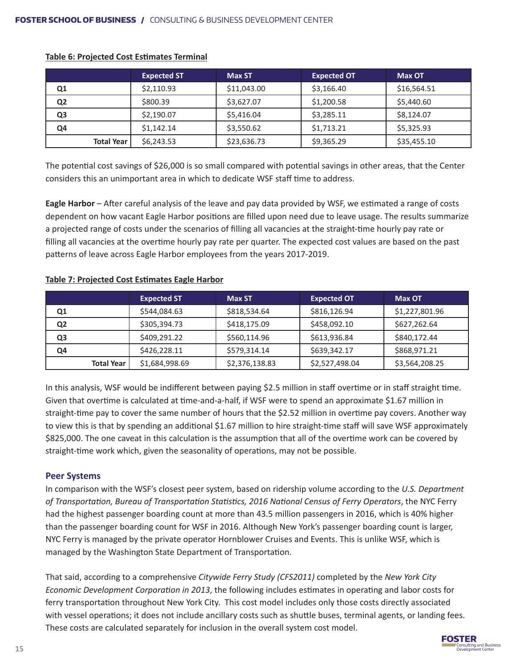|                |                   | <b>Expected ST</b> | <b>Max ST</b> | <b>Expected OT</b> | <b>Max OT</b> |
|----------------|-------------------|--------------------|---------------|--------------------|---------------|
| Q1             |                   | \$2,110.93         | \$11,043.00   | \$3,166.40         | \$16,564.51   |
| Q <sub>2</sub> |                   | \$800.39           | \$3,627.07    | \$1,200.58         | \$5,440.60    |
| Q <sub>3</sub> |                   | \$2,190.07         | \$5,416.04    | \$3,285.11         | \$8,124.07    |
| Q4             |                   | \$1,142.14         | \$3,550.62    | \$1,713.21         | \$5,325.93    |
|                | <b>Total Year</b> | \$6,243.53         | \$23,636.73   | \$9,365.29         | \$35,455.10   |

#### **Table 6: Projected Cost Estimates Terminal**

The potential cost savings of \$26,000 is so small compared with potential savings in other areas, that the Center considers this an unimportant area in which to dedicate WSF staff time to address.

**Eagle Harbor** – After careful analysis of the leave and pay data provided by WSF, we estimated a range of costs dependent on how vacant Eagle Harbor positions are filled upon need due to leave usage. The results summarize a projected range of costs under the scenarios of filling all vacancies at the straight-time hourly pay rate or filling all vacancies at the overtime hourly pay rate per quarter. The expected cost values are based on the past patterns of leave across Eagle Harbor employees from the years 2017-2019.

#### **Table 7: Projected Cost Estimates Eagle Harbor**

|                |                   | <b>Expected ST</b> | <b>Max ST</b>  | <b>Expected OT</b> | <b>Max OT</b>  |
|----------------|-------------------|--------------------|----------------|--------------------|----------------|
| Q1             |                   | \$544,084.63       | \$818,534.64   | \$816,126.94       | \$1,227,801.96 |
| Q <sub>2</sub> |                   | \$305,394.73       | \$418,175.09   | \$458,092.10       | \$627,262.64   |
| Q <sub>3</sub> |                   | \$409,291.22       | \$560,114.96   | \$613,936.84       | \$840,172.44   |
| Q4             |                   | \$426,228.11       | \$579,314.14   | \$639,342.17       | \$868,971.21   |
|                | <b>Total Year</b> | \$1,684,998.69     | \$2,376,138.83 | \$2,527,498.04     | \$3,564,208.25 |

In this analysis, WSF would be indifferent between paying \$2.5 million in staff overtime or in staff straight time. Given that overtime is calculated at time-and-a-half, if WSF were to spend an approximate \$1.67 million in straight-time pay to cover the same number of hours that the \$2.52 million in overtime pay covers. Another way to view this is that by spending an additional \$1.67 million to hire straight-time staff will save WSF approximately \$825,000. The one caveat in this calculation is the assumption that all of the overtime work can be covered by straight-time work which, given the seasonality of operations, may not be possible.

#### **Peer Systems**

In comparison with the WSF's closest peer system, based on ridership volume according to the *U.S. Department of Transportation, Bureau of Transportation Statistics, 2016 National Census of Ferry Operators*, the NYC Ferry had the highest passenger boarding count at more than 43.5 million passengers in 2016, which is 40% higher than the passenger boarding count for WSF in 2016. Although New York's passenger boarding count is larger, NYC Ferry is managed by the private operator Hornblower Cruises and Events. This is unlike WSF, which is managed by the Washington State Department of Transportation.

That said, according to a comprehensive *Citywide Ferry Study (CFS2011)* completed by the *New York City Economic Development Corporation in 2013*, the following includes estimates in operating and labor costs for ferry transportation throughout New York City. This cost model includes only those costs directly associated with vessel operations; it does not include ancillary costs such as shuttle buses, terminal agents, or landing fees. These costs are calculated separately for inclusion in the overall system cost model.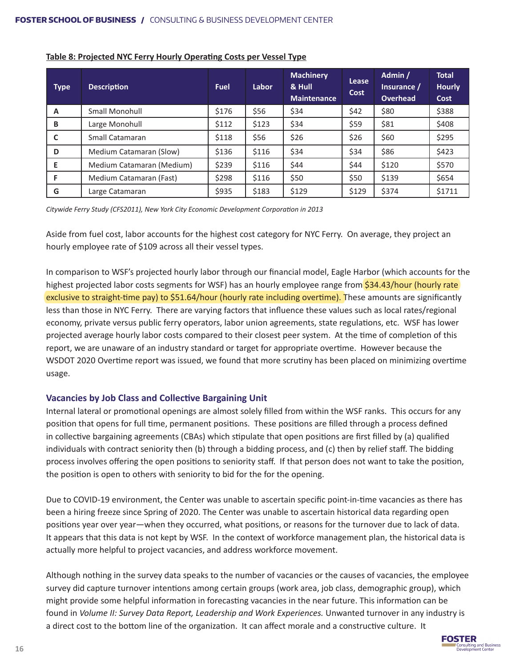| <b>Type</b> | <b>Description</b>        | <b>Fuel</b> | Labor | <b>Machinery</b><br>& Hull<br><b>Maintenance</b> | Lease<br>Cost | Admin /<br>Insurance /<br>Overhead | <b>Total</b><br><b>Hourly</b><br>Cost |
|-------------|---------------------------|-------------|-------|--------------------------------------------------|---------------|------------------------------------|---------------------------------------|
| A           | Small Monohull            | \$176       | \$56  | \$34                                             | \$42          | \$80                               | \$388                                 |
| B           | Large Monohull            | \$112       | \$123 | \$34                                             | \$59          | \$81                               | \$408                                 |
| C           | Small Catamaran           | \$118       | \$56  | \$26                                             | \$26          | \$60                               | \$295                                 |
| D           | Medium Catamaran (Slow)   | \$136       | \$116 | \$34                                             | \$34          | \$86                               | \$423                                 |
| E           | Medium Catamaran (Medium) | \$239       | \$116 | \$44                                             | \$44          | \$120                              | \$570                                 |
| F           | Medium Catamaran (Fast)   | \$298       | \$116 | \$50                                             | \$50          | \$139                              | \$654                                 |
| G           | Large Catamaran           | \$935       | \$183 | \$129                                            | \$129         | \$374                              | \$1711                                |

#### **Table 8: Projected NYC Ferry Hourly Operating Costs per Vessel Type**

*Citywide Ferry Study (CFS2011), New York City Economic Development Corporation in 2013*

Aside from fuel cost, labor accounts for the highest cost category for NYC Ferry. On average, they project an hourly employee rate of \$109 across all their vessel types.

In comparison to WSF's projected hourly labor through our financial model, Eagle Harbor (which accounts for the highest projected labor costs segments for WSF) has an hourly employee range from \$34.43/hour (hourly rate exclusive to straight-time pay) to \$51.64/hour (hourly rate including overtime). These amounts are significantly less than those in NYC Ferry. There are varying factors that influence these values such as local rates/regional economy, private versus public ferry operators, labor union agreements, state regulations, etc. WSF has lower projected average hourly labor costs compared to their closest peer system. At the time of completion of this report, we are unaware of an industry standard or target for appropriate overtime. However because the WSDOT 2020 Overtime report was issued, we found that more scrutiny has been placed on minimizing overtime usage.

#### **Vacancies by Job Class and Collective Bargaining Unit**

Internal lateral or promotional openings are almost solely filled from within the WSF ranks. This occurs for any position that opens for full time, permanent positions. These positions are filled through a process defined in collective bargaining agreements (CBAs) which stipulate that open positions are first filled by (a) qualified individuals with contract seniority then (b) through a bidding process, and (c) then by relief staff. The bidding process involves offering the open positions to seniority staff. If that person does not want to take the position, the position is open to others with seniority to bid for the for the opening.

Due to COVID-19 environment, the Center was unable to ascertain specific point-in-time vacancies as there has been a hiring freeze since Spring of 2020. The Center was unable to ascertain historical data regarding open positions year over year—when they occurred, what positions, or reasons for the turnover due to lack of data. It appears that this data is not kept by WSF. In the context of workforce management plan, the historical data is actually more helpful to project vacancies, and address workforce movement.

Although nothing in the survey data speaks to the number of vacancies or the causes of vacancies, the employee survey did capture turnover intentions among certain groups (work area, job class, demographic group), which might provide some helpful information in forecasting vacancies in the near future. This information can be found in *Volume II: Survey Data Report, Leadership and Work Experiences.* Unwanted turnover in any industry is a direct cost to the bottom line of the organization. It can affect morale and a constructive culture. It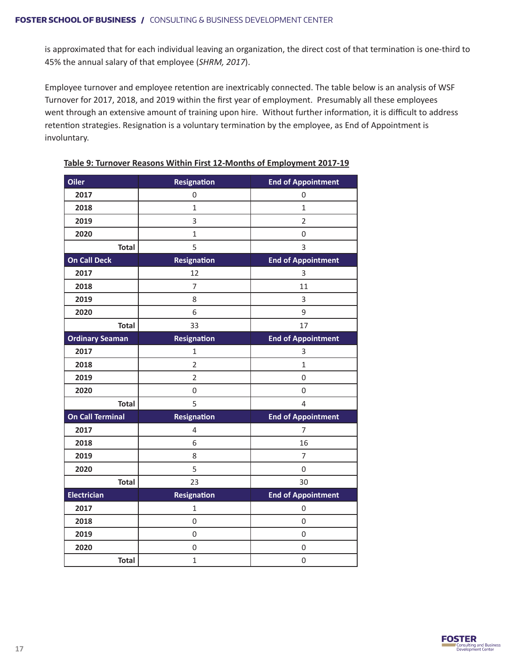is approximated that for each individual leaving an organization, the direct cost of that termination is one-third to 45% the annual salary of that employee (*SHRM, 2017*).

Employee turnover and employee retention are inextricably connected. The table below is an analysis of WSF Turnover for 2017, 2018, and 2019 within the first year of employment. Presumably all these employees went through an extensive amount of training upon hire. Without further information, it is difficult to address retention strategies. Resignation is a voluntary termination by the employee, as End of Appointment is involuntary.

| Oiler                   | <b>Resignation</b> | <b>End of Appointment</b> |
|-------------------------|--------------------|---------------------------|
| 2017                    | 0                  | 0                         |
| 2018                    | $\mathbf{1}$       | 1                         |
| 2019                    | 3                  | $\overline{2}$            |
| 2020                    | $\mathbf{1}$       | $\mathbf 0$               |
| <b>Total</b>            | 5                  | 3                         |
| <b>On Call Deck</b>     | Resignation        | <b>End of Appointment</b> |
| 2017                    | 12                 | 3                         |
| 2018                    | 7                  | 11                        |
| 2019                    | 8                  | 3                         |
| 2020                    | 6                  | 9                         |
| <b>Total</b>            | 33                 | 17                        |
| <b>Ordinary Seaman</b>  | <b>Resignation</b> | <b>End of Appointment</b> |
| 2017                    | 1                  | 3                         |
| 2018                    | $\overline{2}$     | 1                         |
| 2019                    | $\overline{2}$     | 0                         |
| 2020                    | 0                  | 0                         |
| <b>Total</b>            | 5                  | $\overline{4}$            |
| <b>On Call Terminal</b> | <b>Resignation</b> | <b>End of Appointment</b> |
| 2017                    | 4                  | 7                         |
| 2018                    | 6                  | 16                        |
| 2019                    | 8                  | $\overline{7}$            |
| 2020                    | 5                  | $\mathbf 0$               |
| <b>Total</b>            | 23                 | 30                        |
| <b>Electrician</b>      | Resignation        | <b>End of Appointment</b> |
| 2017                    | $\mathbf{1}$       | 0                         |
| 2018                    | 0                  | 0                         |
| 2019                    | 0                  | $\mathbf 0$               |
| 2020                    | 0                  | 0                         |
| <b>Total</b>            | $\mathbf{1}$       | $\mathbf 0$               |

**Table 9: Turnover Reasons Within First 12-Months of Employment 2017-19**

![](_page_16_Picture_5.jpeg)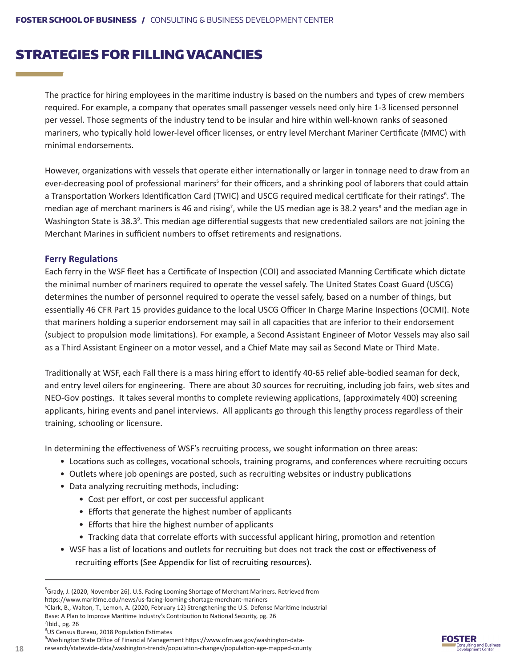### STRATEGIES FOR FILLING VACANCIES

The practice for hiring employees in the maritime industry is based on the numbers and types of crew members required. For example, a company that operates small passenger vessels need only hire 1-3 licensed personnel per vessel. Those segments of the industry tend to be insular and hire within well-known ranks of seasoned mariners, who typically hold lower-level officer licenses, or entry level Merchant Mariner Certificate (MMC) with minimal endorsements.

However, organizations with vessels that operate either internationally or larger in tonnage need to draw from an ever-decreasing pool of professional mariners<sup>5</sup> for their officers, and a shrinking pool of laborers that could attain a Transportation Workers Identification Card (TWIC) and USCG required medical certificate for their ratings<sup>6</sup>. The median age of merchant mariners is 46 and rising<sup>7</sup>, while the US median age is 38.2 years<sup>8</sup> and the median age in Washington State is 38.3<sup>9</sup>. This median age differential suggests that new credentialed sailors are not joining the Merchant Marines in sufficient numbers to offset retirements and resignations.

#### **Ferry Regulations**

a sa kacamatan ing Kabupatèn Kabupatèn Ing

Each ferry in the WSF fleet has a Certificate of Inspection (COI) and associated Manning Certificate which dictate the minimal number of mariners required to operate the vessel safely. The United States Coast Guard (USCG) determines the number of personnel required to operate the vessel safely, based on a number of things, but essentially 46 CFR Part 15 provides guidance to the local USCG Officer In Charge Marine Inspections (OCMI). Note that mariners holding a superior endorsement may sail in all capacities that are inferior to their endorsement (subject to propulsion mode limitations). For example, a Second Assistant Engineer of Motor Vessels may also sail as a Third Assistant Engineer on a motor vessel, and a Chief Mate may sail as Second Mate or Third Mate.

Traditionally at WSF, each Fall there is a mass hiring effort to identify 40-65 relief able-bodied seaman for deck, and entry level oilers for engineering. There are about 30 sources for recruiting, including job fairs, web sites and NEO-Gov postings. It takes several months to complete reviewing applications, (approximately 400) screening applicants, hiring events and panel interviews. All applicants go through this lengthy process regardless of their training, schooling or licensure.

In determining the effectiveness of WSF's recruiting process, we sought information on three areas:

- Locations such as colleges, vocational schools, training programs, and conferences where recruiting occurs
- Outlets where job openings are posted, such as recruiting websites or industry publications
- Data analyzing recruiting methods, including:
	- Cost per effort, or cost per successful applicant
	- Efforts that generate the highest number of applicants
	- Efforts that hire the highest number of applicants
	- Tracking data that correlate efforts with successful applicant hiring, promotion and retention
- WSF has a list of locations and outlets for recruiting but does not track the cost or effectiveness of recruiting efforts (See Appendix for list of recruiting resources).

research/statewide-data/washington-trends/population-changes/population-age-mapped-county

![](_page_17_Picture_22.jpeg)

<sup>&</sup>lt;sup>5</sup>Grady, J. (2020, November 26). U.S. Facing Looming Shortage of Merchant Mariners. Retrieved from https://www.maritime.edu/news/us-facing-looming-shortage-merchant-mariners

<sup>6</sup> Clark, B., Walton, T., Lemon, A. (2020, February 12) Strengthening the U.S. Defense Maritime Industrial

Base: A Plan to Improve Maritime Industry's Contribution to National Security, pg. 26  $7$ Ibid., pg. 26

<sup>8</sup> US Census Bureau, 2018 Population Estimates

<sup>9</sup> Washington State Office of Financial Management https://www.ofm.wa.gov/washington-data-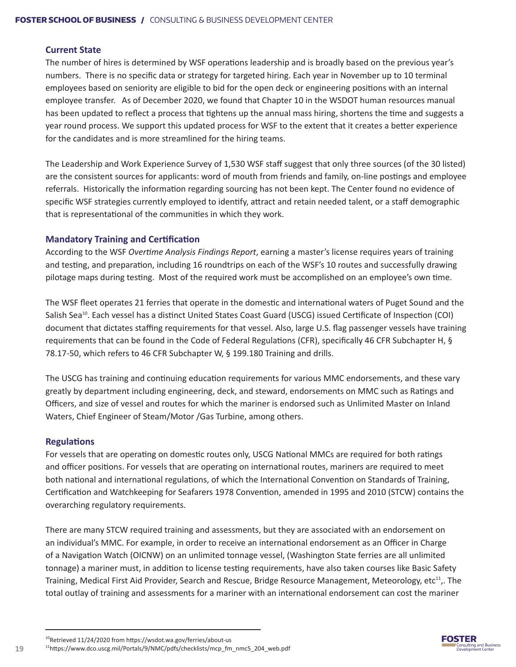#### **Current State**

The number of hires is determined by WSF operations leadership and is broadly based on the previous year's numbers. There is no specific data or strategy for targeted hiring. Each year in November up to 10 terminal employees based on seniority are eligible to bid for the open deck or engineering positions with an internal employee transfer. As of December 2020, we found that Chapter 10 in the WSDOT human resources manual has been updated to reflect a process that tightens up the annual mass hiring, shortens the time and suggests a year round process. We support this updated process for WSF to the extent that it creates a better experience for the candidates and is more streamlined for the hiring teams.

The Leadership and Work Experience Survey of 1,530 WSF staff suggest that only three sources (of the 30 listed) are the consistent sources for applicants: word of mouth from friends and family, on-line postings and employee referrals. Historically the information regarding sourcing has not been kept. The Center found no evidence of specific WSF strategies currently employed to identify, attract and retain needed talent, or a staff demographic that is representational of the communities in which they work.

#### **Mandatory Training and Certification**

According to the WSF *Overtime Analysis Findings Report*, earning a master's license requires years of training and testing, and preparation, including 16 roundtrips on each of the WSF's 10 routes and successfully drawing pilotage maps during testing. Most of the required work must be accomplished on an employee's own time.

The WSF fleet operates 21 ferries that operate in the domestic and international waters of Puget Sound and the Salish Sea<sup>10</sup>. Each vessel has a distinct United States Coast Guard (USCG) issued Certificate of Inspection (COI) document that dictates staffing requirements for that vessel. Also, large U.S. flag passenger vessels have training requirements that can be found in the Code of Federal Regulations (CFR), specifically 46 CFR Subchapter H, § 78.17-50, which refers to 46 CFR Subchapter W, § 199.180 Training and drills.

The USCG has training and continuing education requirements for various MMC endorsements, and these vary greatly by department including engineering, deck, and steward, endorsements on MMC such as Ratings and Officers, and size of vessel and routes for which the mariner is endorsed such as Unlimited Master on Inland Waters, Chief Engineer of Steam/Motor /Gas Turbine, among others.

#### **Regulations**

For vessels that are operating on domestic routes only, USCG National MMCs are required for both ratings and officer positions. For vessels that are operating on international routes, mariners are required to meet both national and international regulations, of which the International Convention on Standards of Training, Certification and Watchkeeping for Seafarers 1978 Convention, amended in 1995 and 2010 (STCW) contains the overarching regulatory requirements.

There are many STCW required training and assessments, but they are associated with an endorsement on an individual's MMC. For example, in order to receive an international endorsement as an Officer in Charge of a Navigation Watch (OICNW) on an unlimited tonnage vessel, (Washington State ferries are all unlimited tonnage) a mariner must, in addition to license testing requirements, have also taken courses like Basic Safety Training, Medical First Aid Provider, Search and Rescue, Bridge Resource Management, Meteorology, etc<sup>11</sup>,. The total outlay of training and assessments for a mariner with an international endorsement can cost the mariner

![](_page_18_Picture_12.jpeg)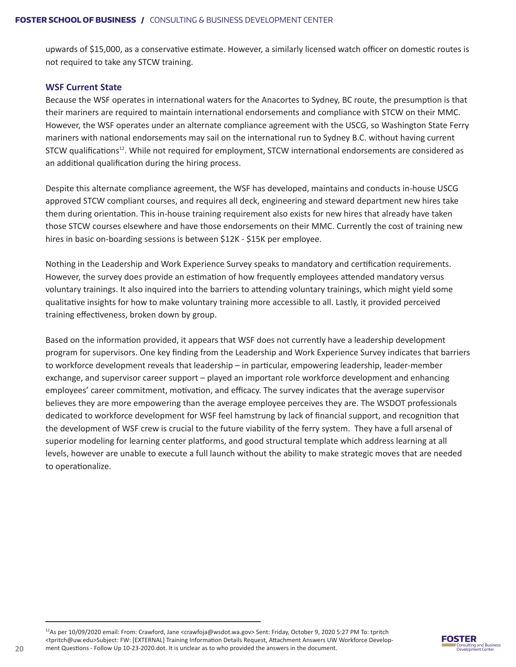upwards of \$15,000, as a conservative estimate. However, a similarly licensed watch officer on domestic routes is not required to take any STCW training.

#### **WSF Current State**

Because the WSF operates in international waters for the Anacortes to Sydney, BC route, the presumption is that their mariners are required to maintain international endorsements and compliance with STCW on their MMC. However, the WSF operates under an alternate compliance agreement with the USCG, so Washington State Ferry mariners with national endorsements may sail on the international run to Sydney B.C. without having current STCW qualifications<sup>12</sup>. While not required for employment, STCW international endorsements are considered as an additional qualification during the hiring process.

Despite this alternate compliance agreement, the WSF has developed, maintains and conducts in-house USCG approved STCW compliant courses, and requires all deck, engineering and steward department new hires take them during orientation. This in-house training requirement also exists for new hires that already have taken those STCW courses elsewhere and have those endorsements on their MMC. Currently the cost of training new hires in basic on-boarding sessions is between \$12K - \$15K per employee.

Nothing in the Leadership and Work Experience Survey speaks to mandatory and certification requirements. However, the survey does provide an estimation of how frequently employees attended mandatory versus voluntary trainings. It also inquired into the barriers to attending voluntary trainings, which might yield some qualitative insights for how to make voluntary training more accessible to all. Lastly, it provided perceived training effectiveness, broken down by group.

Based on the information provided, it appears that WSF does not currently have a leadership development program for supervisors. One key finding from the Leadership and Work Experience Survey indicates that barriers to workforce development reveals that leadership – in particular, empowering leadership, leader-member exchange, and supervisor career support – played an important role workforce development and enhancing employees' career commitment, motivation, and efficacy. The survey indicates that the average supervisor believes they are more empowering than the average employee perceives they are. The WSDOT professionals dedicated to workforce development for WSF feel hamstrung by lack of financial support, and recognition that the development of WSF crew is crucial to the future viability of the ferry system. They have a full arsenal of superior modeling for learning center platforms, and good structural template which address learning at all levels, however are unable to execute a full launch without the ability to make strategic moves that are needed to operationalize.

![](_page_19_Picture_8.jpeg)

<sup>12</sup>As per 10/09/2020 email: From: Crawford, Jane <crawfoja@wsdot.wa.gov> Sent: Friday, October 9, 2020 5:27 PM To: tpritch <tpritch@uw.edu>Subject: FW: [EXTERNAL] Training Information Details Request, Attachment Answers UW Workforce Development Questions - Follow Up 10-23-2020.dot. It is unclear as to who provided the answers in the document.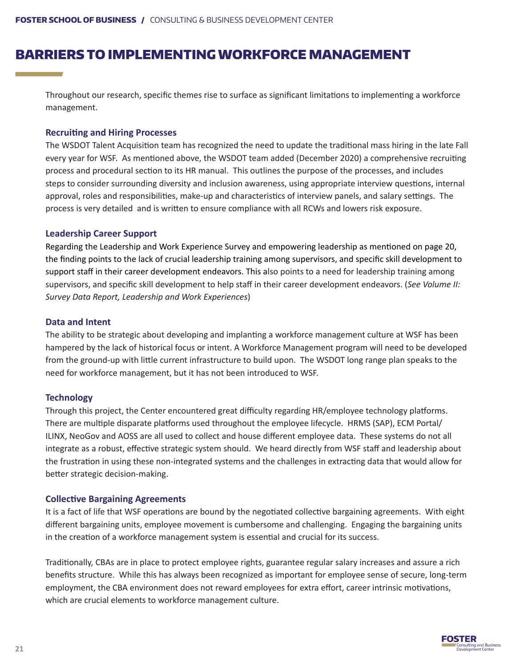### BARRIERS TO IMPLEMENTING WORKFORCE MANAGEMENT

Throughout our research, specific themes rise to surface as significant limitations to implementing a workforce management.

#### **Recruiting and Hiring Processes**

The WSDOT Talent Acquisition team has recognized the need to update the traditional mass hiring in the late Fall every year for WSF. As mentioned above, the WSDOT team added (December 2020) a comprehensive recruiting process and procedural section to its HR manual. This outlines the purpose of the processes, and includes steps to consider surrounding diversity and inclusion awareness, using appropriate interview questions, internal approval, roles and responsibilities, make-up and characteristics of interview panels, and salary settings. The process is very detailed and is written to ensure compliance with all RCWs and lowers risk exposure.

#### **Leadership Career Support**

Regarding the Leadership and Work Experience Survey and empowering leadership as mentioned on page 20, the finding points to the lack of crucial leadership training among supervisors, and specific skill development to support staff in their career development endeavors. This also points to a need for leadership training among supervisors, and specific skill development to help staff in their career development endeavors. (*See Volume II: Survey Data Report, Leadership and Work Experiences*)

#### **Data and Intent**

The ability to be strategic about developing and implanting a workforce management culture at WSF has been hampered by the lack of historical focus or intent. A Workforce Management program will need to be developed from the ground-up with little current infrastructure to build upon. The WSDOT long range plan speaks to the need for workforce management, but it has not been introduced to WSF.

#### **Technology**

Through this project, the Center encountered great difficulty regarding HR/employee technology platforms. There are multiple disparate platforms used throughout the employee lifecycle. HRMS (SAP), ECM Portal/ ILINX, NeoGov and AOSS are all used to collect and house different employee data. These systems do not all integrate as a robust, effective strategic system should. We heard directly from WSF staff and leadership about the frustration in using these non-integrated systems and the challenges in extracting data that would allow for better strategic decision-making.

#### **Collective Bargaining Agreements**

It is a fact of life that WSF operations are bound by the negotiated collective bargaining agreements. With eight different bargaining units, employee movement is cumbersome and challenging. Engaging the bargaining units in the creation of a workforce management system is essential and crucial for its success.

Traditionally, CBAs are in place to protect employee rights, guarantee regular salary increases and assure a rich benefits structure. While this has always been recognized as important for employee sense of secure, long-term employment, the CBA environment does not reward employees for extra effort, career intrinsic motivations, which are crucial elements to workforce management culture.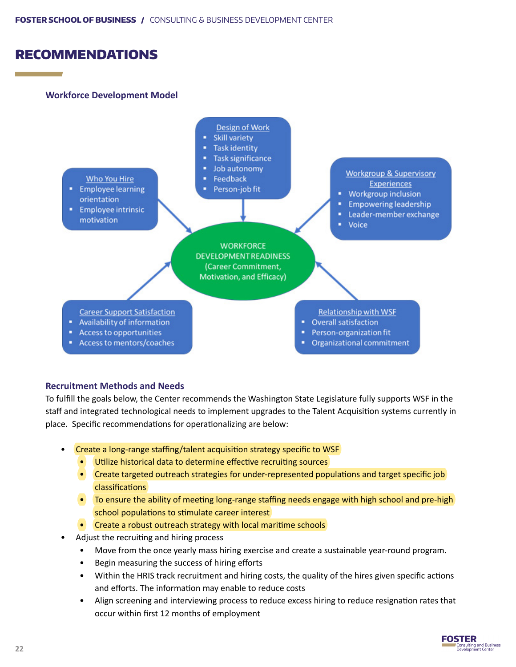### RECOMMENDATIONS

#### **Workforce Development Model**

![](_page_21_Figure_3.jpeg)

#### **Recruitment Methods and Needs**

To fulfill the goals below, the Center recommends the Washington State Legislature fully supports WSF in the staff and integrated technological needs to implement upgrades to the Talent Acquisition systems currently in place. Specific recommendations for operationalizing are below:

- Create a long-range staffing/talent acquisition strategy specific to WSF
	- Utilize historical data to determine effective recruiting sources
	- Create targeted outreach strategies for under-represented populations and target specific job classifications
	- To ensure the ability of meeting long-range staffing needs engage with high school and pre-high school populations to stimulate career interest
	- Create a robust outreach strategy with local maritime schools
- Adjust the recruiting and hiring process
	- Move from the once yearly mass hiring exercise and create a sustainable year-round program.
	- Begin measuring the success of hiring efforts
	- Within the HRIS track recruitment and hiring costs, the quality of the hires given specific actions and efforts. The information may enable to reduce costs
	- Align screening and interviewing process to reduce excess hiring to reduce resignation rates that occur within first 12 months of employment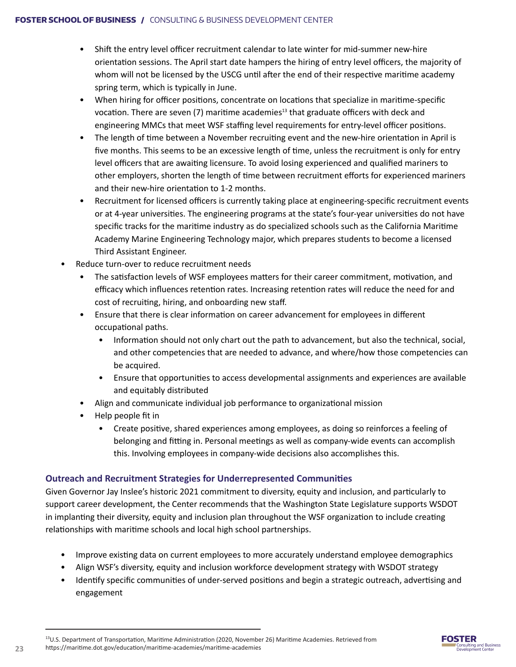- Shift the entry level officer recruitment calendar to late winter for mid-summer new-hire orientation sessions. The April start date hampers the hiring of entry level officers, the majority of whom will not be licensed by the USCG until after the end of their respective maritime academy spring term, which is typically in June.
- When hiring for officer positions, concentrate on locations that specialize in maritime-specific vocation. There are seven  $(7)$  maritime academies<sup>13</sup> that graduate officers with deck and engineering MMCs that meet WSF staffing level requirements for entry-level officer positions.
- The length of time between a November recruiting event and the new-hire orientation in April is five months. This seems to be an excessive length of time, unless the recruitment is only for entry level officers that are awaiting licensure. To avoid losing experienced and qualified mariners to other employers, shorten the length of time between recruitment efforts for experienced mariners and their new-hire orientation to 1-2 months.
- Recruitment for licensed officers is currently taking place at engineering-specific recruitment events or at 4-year universities. The engineering programs at the state's four-year universities do not have specific tracks for the maritime industry as do specialized schools such as the California Maritime Academy Marine Engineering Technology major, which prepares students to become a licensed Third Assistant Engineer.
- Reduce turn-over to reduce recruitment needs
	- The satisfaction levels of WSF employees matters for their career commitment, motivation, and efficacy which influences retention rates. Increasing retention rates will reduce the need for and cost of recruiting, hiring, and onboarding new staff.
	- Ensure that there is clear information on career advancement for employees in different occupational paths.
		- Information should not only chart out the path to advancement, but also the technical, social, and other competencies that are needed to advance, and where/how those competencies can be acquired.
		- Ensure that opportunities to access developmental assignments and experiences are available and equitably distributed
	- Align and communicate individual job performance to organizational mission
	- Help people fit in
		- Create positive, shared experiences among employees, as doing so reinforces a feeling of belonging and fitting in. Personal meetings as well as company-wide events can accomplish this. Involving employees in company-wide decisions also accomplishes this.

#### **Outreach and Recruitment Strategies for Underrepresented Communities**

Given Governor Jay Inslee's historic 2021 commitment to diversity, equity and inclusion, and particularly to support career development, the Center recommends that the Washington State Legislature supports WSDOT in implanting their diversity, equity and inclusion plan throughout the WSF organization to include creating relationships with maritime schools and local high school partnerships.

- Improve existing data on current employees to more accurately understand employee demographics
- Align WSF's diversity, equity and inclusion workforce development strategy with WSDOT strategy
- Identify specific communities of under-served positions and begin a strategic outreach, advertising and engagement

![](_page_22_Picture_19.jpeg)

<sup>&</sup>lt;sup>13</sup>U.S. Department of Transportation, Maritime Administration (2020, November 26) Maritime Academies. Retrieved from https://maritime.dot.gov/education/maritime-academies/maritime-academies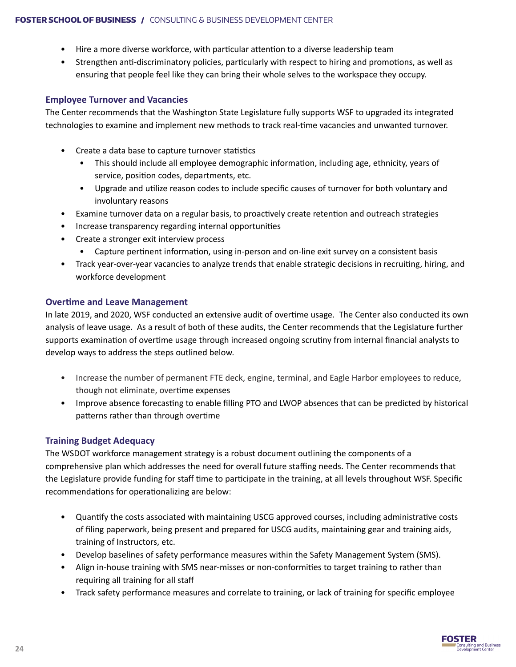- Hire a more diverse workforce, with particular attention to a diverse leadership team
- Strengthen anti-discriminatory policies, particularly with respect to hiring and promotions, as well as ensuring that people feel like they can bring their whole selves to the workspace they occupy.

#### **Employee Turnover and Vacancies**

The Center recommends that the Washington State Legislature fully supports WSF to upgraded its integrated technologies to examine and implement new methods to track real-time vacancies and unwanted turnover.

- Create a data base to capture turnover statistics
	- This should include all employee demographic information, including age, ethnicity, years of service, position codes, departments, etc.
	- Upgrade and utilize reason codes to include specific causes of turnover for both voluntary and involuntary reasons
- Examine turnover data on a regular basis, to proactively create retention and outreach strategies
- Increase transparency regarding internal opportunities
- Create a stronger exit interview process
	- Capture pertinent information, using in-person and on-line exit survey on a consistent basis
- Track year-over-year vacancies to analyze trends that enable strategic decisions in recruiting, hiring, and workforce development

#### **Overtime and Leave Management**

In late 2019, and 2020, WSF conducted an extensive audit of overtime usage. The Center also conducted its own analysis of leave usage. As a result of both of these audits, the Center recommends that the Legislature further supports examination of overtime usage through increased ongoing scrutiny from internal financial analysts to develop ways to address the steps outlined below.

- Increase the number of permanent FTE deck, engine, terminal, and Eagle Harbor employees to reduce, though not eliminate, overtime expenses
- Improve absence forecasting to enable filling PTO and LWOP absences that can be predicted by historical patterns rather than through overtime

#### **Training Budget Adequacy**

The WSDOT workforce management strategy is a robust document outlining the components of a comprehensive plan which addresses the need for overall future staffing needs. The Center recommends that the Legislature provide funding for staff time to participate in the training, at all levels throughout WSF. Specific recommendations for operationalizing are below:

- Quantify the costs associated with maintaining USCG approved courses, including administrative costs of filing paperwork, being present and prepared for USCG audits, maintaining gear and training aids, training of Instructors, etc.
- Develop baselines of safety performance measures within the Safety Management System (SMS).
- Align in-house training with SMS near-misses or non-conformities to target training to rather than requiring all training for all staff
- Track safety performance measures and correlate to training, or lack of training for specific employee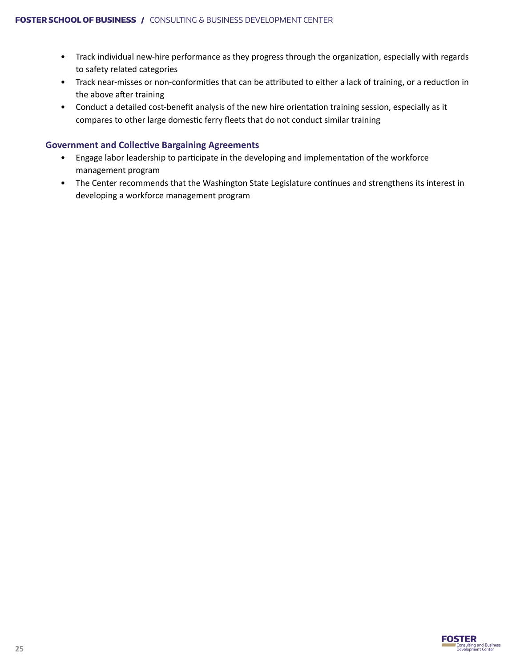- Track individual new-hire performance as they progress through the organization, especially with regards to safety related categories
- Track near-misses or non-conformities that can be attributed to either a lack of training, or a reduction in the above after training
- Conduct a detailed cost-benefit analysis of the new hire orientation training session, especially as it compares to other large domestic ferry fleets that do not conduct similar training

#### **Government and Collective Bargaining Agreements**

- Engage labor leadership to participate in the developing and implementation of the workforce management program
- The Center recommends that the Washington State Legislature continues and strengthens its interest in developing a workforce management program

![](_page_24_Picture_7.jpeg)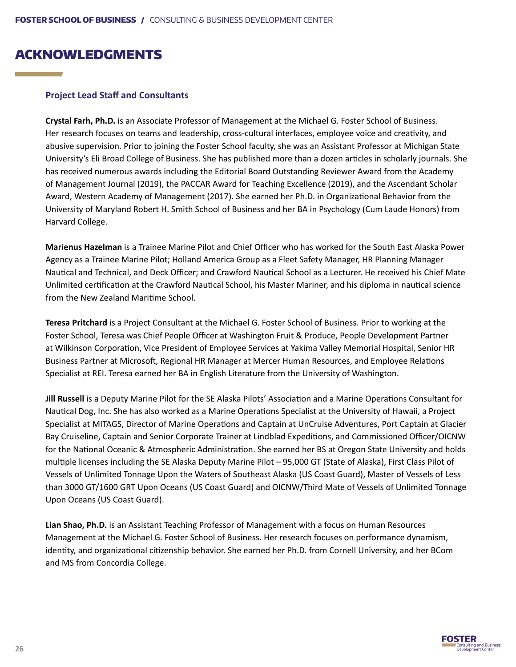### ACKNOWLEDGMENTS

#### **Project Lead Staff and Consultants**

**Crystal Farh, Ph.D.** is an Associate Professor of Management at the Michael G. Foster School of Business. Her research focuses on teams and leadership, cross-cultural interfaces, employee voice and creativity, and abusive supervision. Prior to joining the Foster School faculty, she was an Assistant Professor at Michigan State University's Eli Broad College of Business. She has published more than a dozen articles in scholarly journals. She has received numerous awards including the Editorial Board Outstanding Reviewer Award from the Academy of Management Journal (2019), the PACCAR Award for Teaching Excellence (2019), and the Ascendant Scholar Award, Western Academy of Management (2017). She earned her Ph.D. in Organizational Behavior from the University of Maryland Robert H. Smith School of Business and her BA in Psychology (Cum Laude Honors) from Harvard College.

**Marienus Hazelman** is a Trainee Marine Pilot and Chief Officer who has worked for the South East Alaska Power Agency as a Trainee Marine Pilot; Holland America Group as a Fleet Safety Manager, HR Planning Manager Nautical and Technical, and Deck Officer; and Crawford Nautical School as a Lecturer. He received his Chief Mate Unlimited certification at the Crawford Nautical School, his Master Mariner, and his diploma in nautical science from the New Zealand Maritime School.

**Teresa Pritchard** is a Project Consultant at the Michael G. Foster School of Business. Prior to working at the Foster School, Teresa was Chief People Officer at Washington Fruit & Produce, People Development Partner at Wilkinson Corporation, Vice President of Employee Services at Yakima Valley Memorial Hospital, Senior HR Business Partner at Microsoft, Regional HR Manager at Mercer Human Resources, and Employee Relations Specialist at REI. Teresa earned her BA in English Literature from the University of Washington.

**Jill Russell** is a Deputy Marine Pilot for the SE Alaska Pilots' Association and a Marine Operations Consultant for Nautical Dog, Inc. She has also worked as a Marine Operations Specialist at the University of Hawaii, a Project Specialist at MITAGS, Director of Marine Operations and Captain at UnCruise Adventures, Port Captain at Glacier Bay Cruiseline, Captain and Senior Corporate Trainer at Lindblad Expeditions, and Commissioned Officer/OICNW for the National Oceanic & Atmospheric Administration. She earned her BS at Oregon State University and holds multiple licenses including the SE Alaska Deputy Marine Pilot – 95,000 GT (State of Alaska), First Class Pilot of Vessels of Unlimited Tonnage Upon the Waters of Southeast Alaska (US Coast Guard), Master of Vessels of Less than 3000 GT/1600 GRT Upon Oceans (US Coast Guard) and OICNW/Third Mate of Vessels of Unlimited Tonnage Upon Oceans (US Coast Guard).

**Lian Shao, Ph.D.** is an Assistant Teaching Professor of Management with a focus on Human Resources Management at the Michael G. Foster School of Business. Her research focuses on performance dynamism, identity, and organizational citizenship behavior. She earned her Ph.D. from Cornell University, and her BCom and MS from Concordia College.

![](_page_25_Picture_8.jpeg)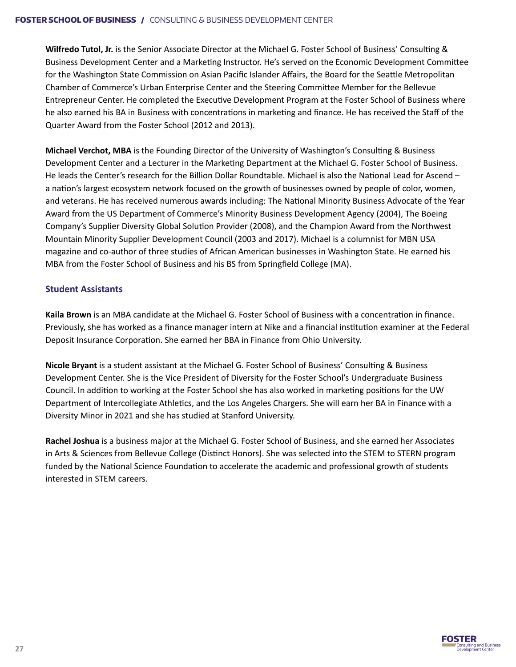**Wilfredo Tutol, Jr.** is the Senior Associate Director at the Michael G. Foster School of Business' Consulting & Business Development Center and a Marketing Instructor. He's served on the Economic Development Committee for the Washington State Commission on Asian Pacific Islander Affairs, the Board for the Seattle Metropolitan Chamber of Commerce's Urban Enterprise Center and the Steering Committee Member for the Bellevue Entrepreneur Center. He completed the Executive Development Program at the Foster School of Business where he also earned his BA in Business with concentrations in marketing and finance. He has received the Staff of the Quarter Award from the Foster School (2012 and 2013).

**Michael Verchot, MBA** is the Founding Director of the University of Washington's Consulting & Business Development Center and a Lecturer in the Marketing Department at the Michael G. Foster School of Business. He leads the Center's research for the Billion Dollar Roundtable. Michael is also the National Lead for Ascend – a nation's largest ecosystem network focused on the growth of businesses owned by people of color, women, and veterans. He has received numerous awards including: The National Minority Business Advocate of the Year Award from the US Department of Commerce's Minority Business Development Agency (2004), The Boeing Company's Supplier Diversity Global Solution Provider (2008), and the Champion Award from the Northwest Mountain Minority Supplier Development Council (2003 and 2017). Michael is a columnist for MBN USA magazine and co-author of three studies of African American businesses in Washington State. He earned his MBA from the Foster School of Business and his BS from Springfield College (MA).

#### **Student Assistants**

**Kaila Brown** is an MBA candidate at the Michael G. Foster School of Business with a concentration in finance. Previously, she has worked as a finance manager intern at Nike and a financial institution examiner at the Federal Deposit Insurance Corporation. She earned her BBA in Finance from Ohio University.

**Nicole Bryant** is a student assistant at the Michael G. Foster School of Business' Consulting & Business Development Center. She is the Vice President of Diversity for the Foster School's Undergraduate Business Council. In addition to working at the Foster School she has also worked in marketing positions for the UW Department of Intercollegiate Athletics, and the Los Angeles Chargers. She will earn her BA in Finance with a Diversity Minor in 2021 and she has studied at Stanford University.

**Rachel Joshua** is a business major at the Michael G. Foster School of Business, and she earned her Associates in Arts & Sciences from Bellevue College (Distinct Honors). She was selected into the STEM to STERN program funded by the National Science Foundation to accelerate the academic and professional growth of students interested in STEM careers.

![](_page_26_Picture_7.jpeg)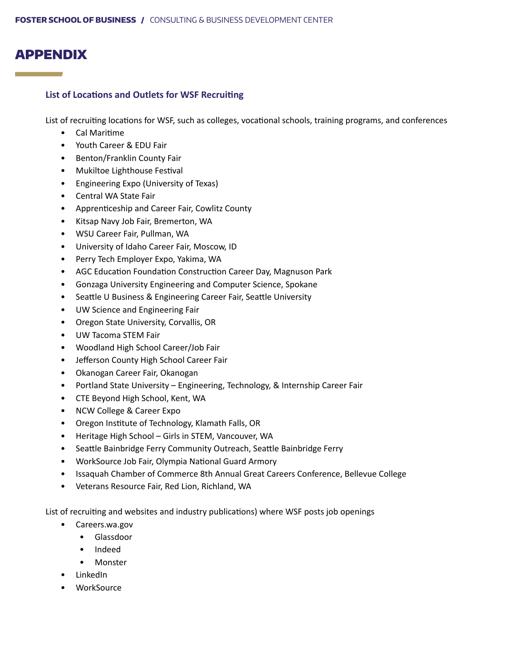### APPENDIX

a sa kacamatan ing Kabupatèn Kabupatèn Ing

#### **List of Locations and Outlets for WSF Recruiting**

List of recruiting locations for WSF, such as colleges, vocational schools, training programs, and conferences

- Cal Maritime
- Youth Career & EDU Fair
- Benton/Franklin County Fair
- Mukiltoe Lighthouse Festival
- Engineering Expo (University of Texas)
- Central WA State Fair
- Apprenticeship and Career Fair, Cowlitz County
- Kitsap Navy Job Fair, Bremerton, WA
- WSU Career Fair, Pullman, WA
- University of Idaho Career Fair, Moscow, ID
- Perry Tech Employer Expo, Yakima, WA
- AGC Education Foundation Construction Career Day, Magnuson Park
- Gonzaga University Engineering and Computer Science, Spokane
- Seattle U Business & Engineering Career Fair, Seattle University
- UW Science and Engineering Fair
- Oregon State University, Corvallis, OR
- UW Tacoma STEM Fair
- Woodland High School Career/Job Fair
- Jefferson County High School Career Fair
- Okanogan Career Fair, Okanogan
- Portland State University Engineering, Technology, & Internship Career Fair
- CTE Beyond High School, Kent, WA
- NCW College & Career Expo
- Oregon Institute of Technology, Klamath Falls, OR
- Heritage High School Girls in STEM, Vancouver, WA
- Seattle Bainbridge Ferry Community Outreach, Seattle Bainbridge Ferry
- WorkSource Job Fair, Olympia National Guard Armory
- Issaquah Chamber of Commerce 8th Annual Great Careers Conference, Bellevue College
- Veterans Resource Fair, Red Lion, Richland, WA

List of recruiting and websites and industry publications) where WSF posts job openings

- Careers.wa.gov
	- Glassdoor
	- Indeed
	- Monster
- LinkedIn
- WorkSource